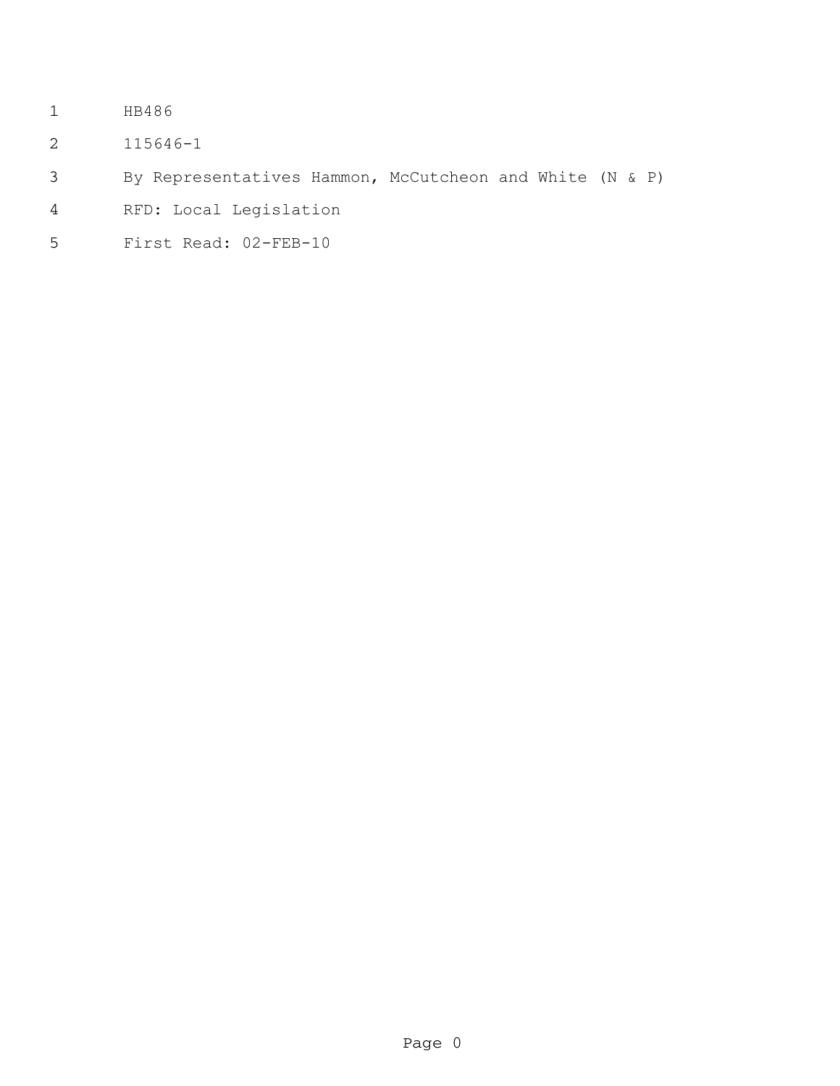- HB486
- 115646-1
- By Representatives Hammon, McCutcheon and White (N & P)
- RFD: Local Legislation
- First Read: 02-FEB-10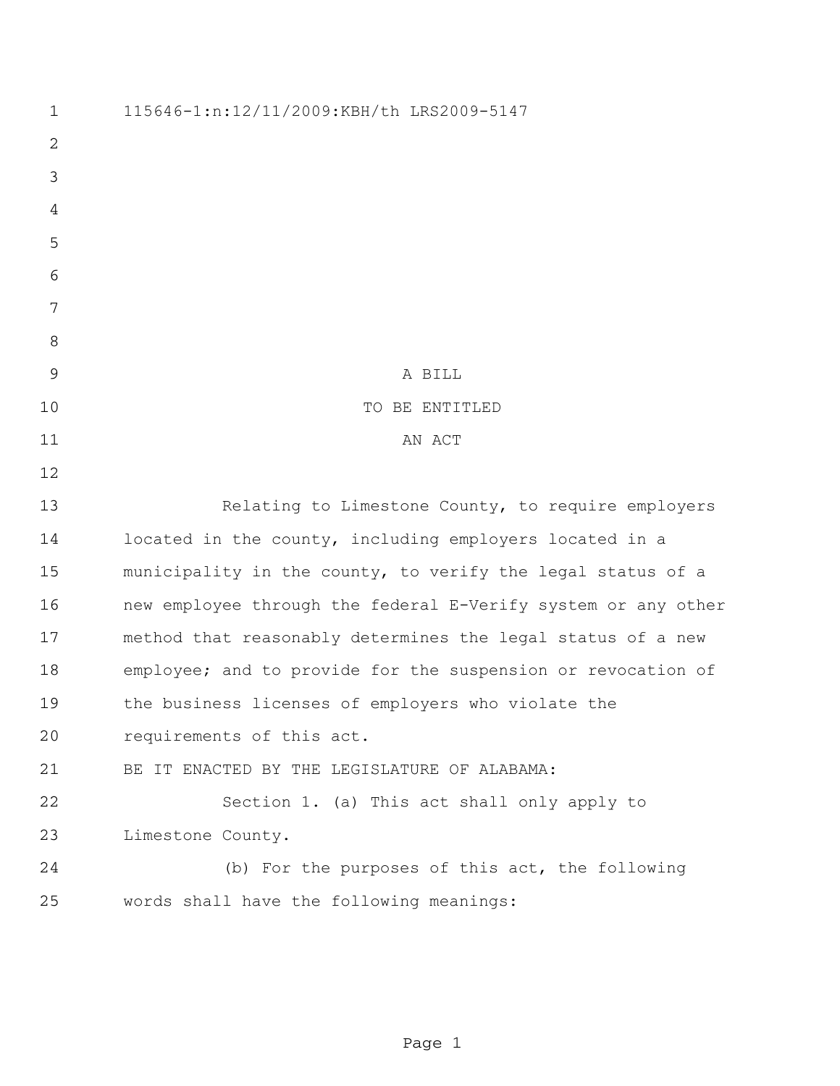| $\mathbf 1$    | 115646-1:n:12/11/2009:KBH/th LRS2009-5147                     |
|----------------|---------------------------------------------------------------|
| $\overline{2}$ |                                                               |
| 3              |                                                               |
| 4              |                                                               |
| 5              |                                                               |
| 6              |                                                               |
| 7              |                                                               |
| 8              |                                                               |
| 9              | A BILL                                                        |
| 10             | TO BE ENTITLED                                                |
| 11             | AN ACT                                                        |
| 12             |                                                               |
| 13             | Relating to Limestone County, to require employers            |
| 14             | located in the county, including employers located in a       |
| 15             | municipality in the county, to verify the legal status of a   |
| 16             | new employee through the federal E-Verify system or any other |
| 17             | method that reasonably determines the legal status of a new   |
| 18             | employee; and to provide for the suspension or revocation of  |
| 19             | the business licenses of employers who violate the            |
| 20             | requirements of this act.                                     |
| 21             | BE IT ENACTED BY THE LEGISLATURE OF ALABAMA:                  |
| 22             | Section 1. (a) This act shall only apply to                   |
| 23             | Limestone County.                                             |
| 24             | (b) For the purposes of this act, the following               |
| 25             | words shall have the following meanings:                      |
|                |                                                               |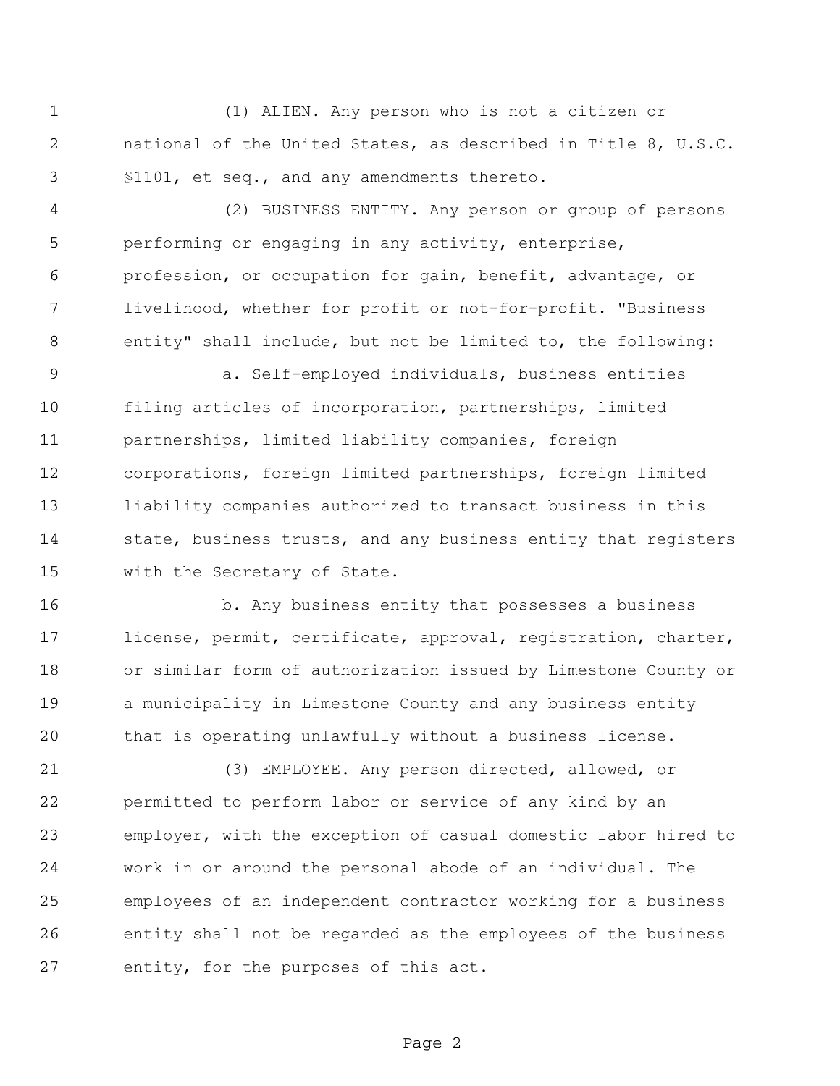(1) ALIEN. Any person who is not a citizen or national of the United States, as described in Title 8, U.S.C. §1101, et seq., and any amendments thereto.

 (2) BUSINESS ENTITY. Any person or group of persons performing or engaging in any activity, enterprise, profession, or occupation for gain, benefit, advantage, or livelihood, whether for profit or not-for-profit. "Business entity" shall include, but not be limited to, the following:

 a. Self-employed individuals, business entities filing articles of incorporation, partnerships, limited partnerships, limited liability companies, foreign corporations, foreign limited partnerships, foreign limited liability companies authorized to transact business in this 14 state, business trusts, and any business entity that registers with the Secretary of State.

 b. Any business entity that possesses a business license, permit, certificate, approval, registration, charter, or similar form of authorization issued by Limestone County or 19 a municipality in Limestone County and any business entity that is operating unlawfully without a business license.

 (3) EMPLOYEE. Any person directed, allowed, or permitted to perform labor or service of any kind by an employer, with the exception of casual domestic labor hired to work in or around the personal abode of an individual. The employees of an independent contractor working for a business entity shall not be regarded as the employees of the business entity, for the purposes of this act.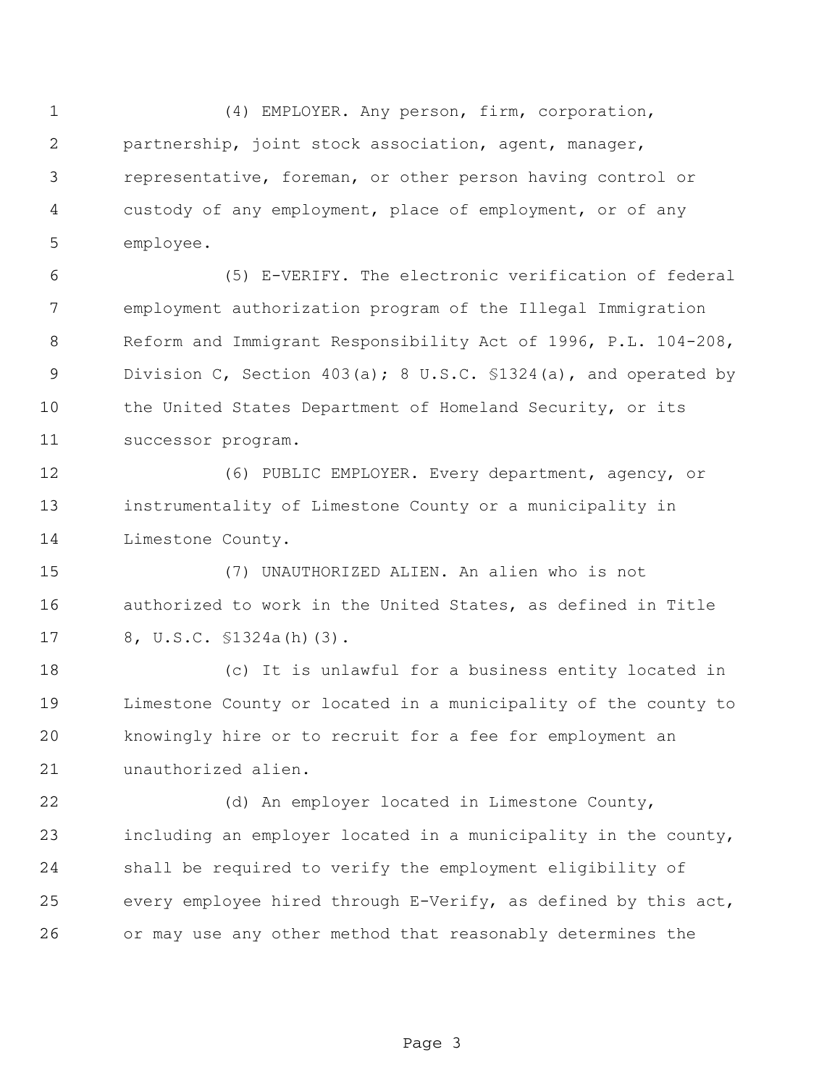(4) EMPLOYER. Any person, firm, corporation, partnership, joint stock association, agent, manager, representative, foreman, or other person having control or custody of any employment, place of employment, or of any employee.

 (5) E-VERIFY. The electronic verification of federal employment authorization program of the Illegal Immigration Reform and Immigrant Responsibility Act of 1996, P.L. 104-208, Division C, Section 403(a); 8 U.S.C. §1324(a), and operated by the United States Department of Homeland Security, or its successor program.

 (6) PUBLIC EMPLOYER. Every department, agency, or instrumentality of Limestone County or a municipality in Limestone County.

 (7) UNAUTHORIZED ALIEN. An alien who is not authorized to work in the United States, as defined in Title 8, U.S.C. §1324a(h)(3).

 (c) It is unlawful for a business entity located in Limestone County or located in a municipality of the county to knowingly hire or to recruit for a fee for employment an unauthorized alien.

 (d) An employer located in Limestone County, including an employer located in a municipality in the county, shall be required to verify the employment eligibility of every employee hired through E-Verify, as defined by this act, or may use any other method that reasonably determines the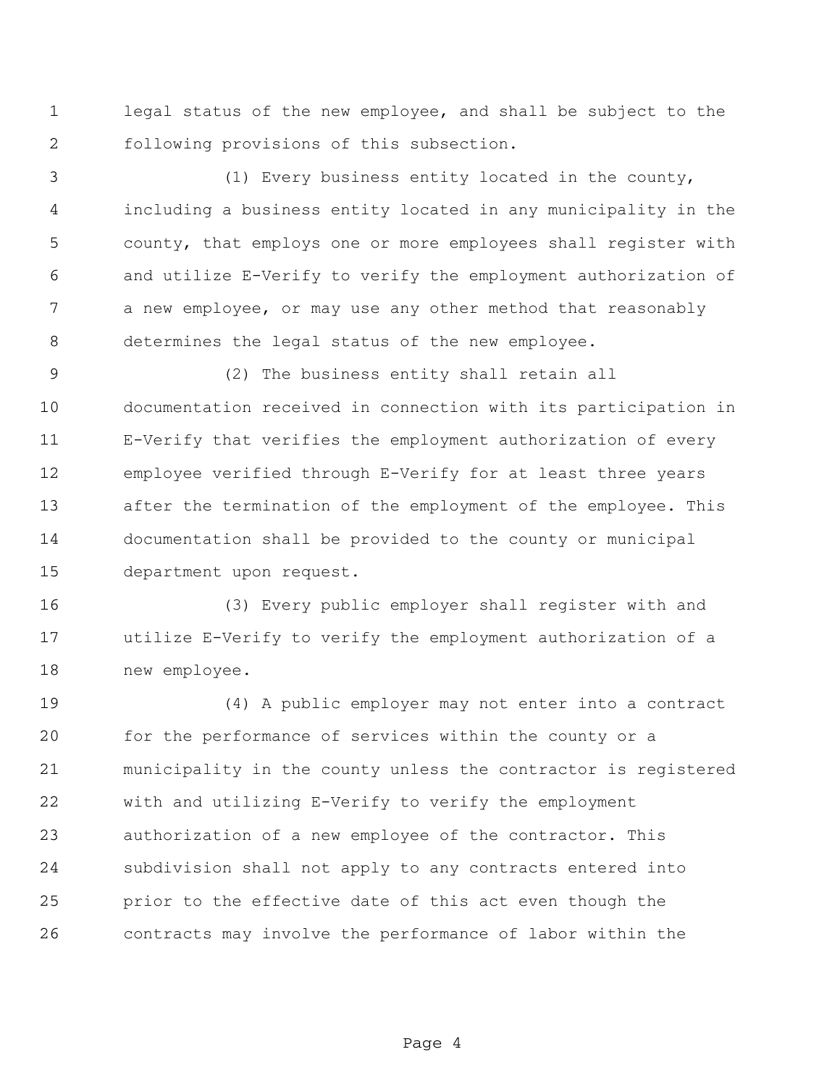legal status of the new employee, and shall be subject to the following provisions of this subsection.

 (1) Every business entity located in the county, including a business entity located in any municipality in the county, that employs one or more employees shall register with and utilize E-Verify to verify the employment authorization of a new employee, or may use any other method that reasonably determines the legal status of the new employee.

 (2) The business entity shall retain all documentation received in connection with its participation in E-Verify that verifies the employment authorization of every employee verified through E-Verify for at least three years after the termination of the employment of the employee. This documentation shall be provided to the county or municipal department upon request.

 (3) Every public employer shall register with and utilize E-Verify to verify the employment authorization of a new employee.

 (4) A public employer may not enter into a contract for the performance of services within the county or a municipality in the county unless the contractor is registered with and utilizing E-Verify to verify the employment authorization of a new employee of the contractor. This subdivision shall not apply to any contracts entered into prior to the effective date of this act even though the contracts may involve the performance of labor within the

Page 4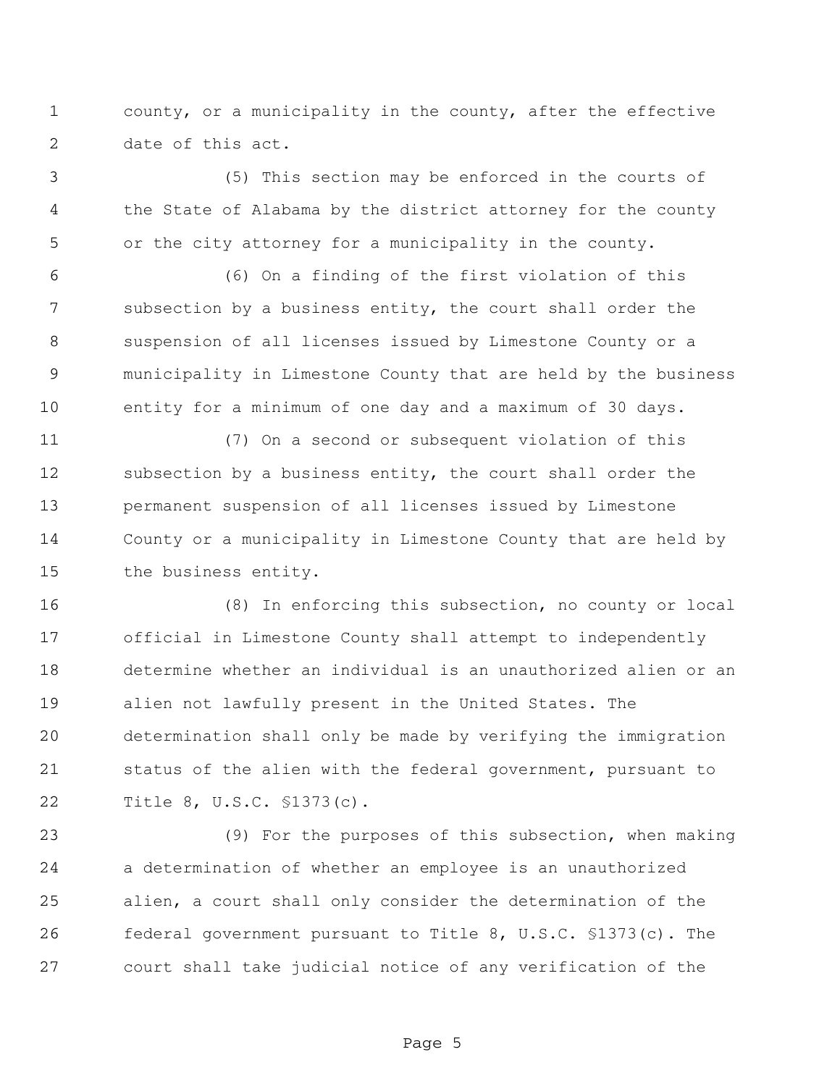county, or a municipality in the county, after the effective date of this act.

 (5) This section may be enforced in the courts of the State of Alabama by the district attorney for the county or the city attorney for a municipality in the county.

 (6) On a finding of the first violation of this subsection by a business entity, the court shall order the suspension of all licenses issued by Limestone County or a municipality in Limestone County that are held by the business entity for a minimum of one day and a maximum of 30 days.

 (7) On a second or subsequent violation of this 12 subsection by a business entity, the court shall order the permanent suspension of all licenses issued by Limestone County or a municipality in Limestone County that are held by the business entity.

 (8) In enforcing this subsection, no county or local official in Limestone County shall attempt to independently determine whether an individual is an unauthorized alien or an alien not lawfully present in the United States. The determination shall only be made by verifying the immigration status of the alien with the federal government, pursuant to Title 8, U.S.C. §1373(c).

 (9) For the purposes of this subsection, when making a determination of whether an employee is an unauthorized alien, a court shall only consider the determination of the federal government pursuant to Title 8, U.S.C. §1373(c). The court shall take judicial notice of any verification of the

Page 5